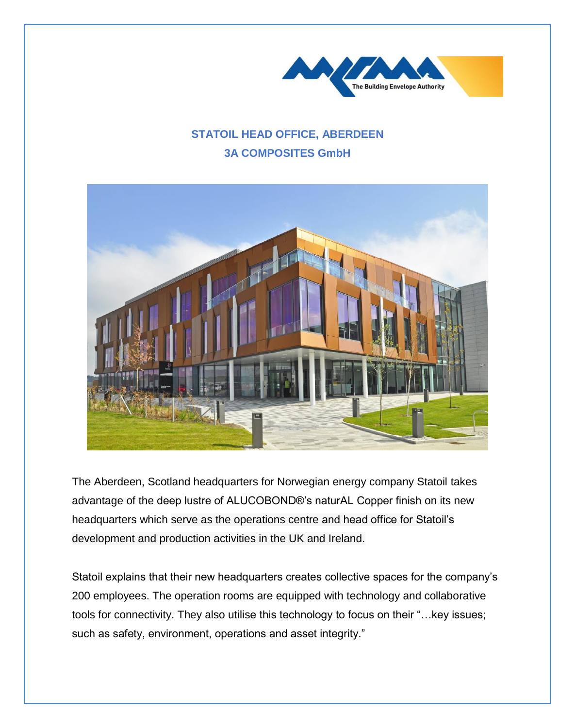

## **STATOIL HEAD OFFICE, ABERDEEN 3A COMPOSITES GmbH**



The Aberdeen, Scotland headquarters for Norwegian energy company Statoil takes advantage of the deep lustre of ALUCOBOND®'s naturAL Copper finish on its new headquarters which serve as the operations centre and head office for Statoil's development and production activities in the UK and Ireland.

Statoil explains that their new headquarters creates collective spaces for the company's 200 employees. The operation rooms are equipped with technology and collaborative tools for connectivity. They also utilise this technology to focus on their "…key issues; such as safety, environment, operations and asset integrity."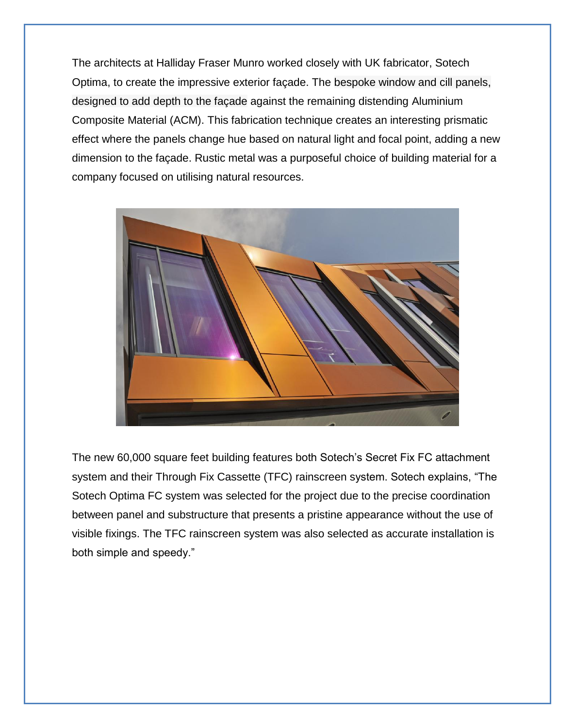The architects at Halliday Fraser Munro worked closely with UK fabricator, Sotech Optima, to create the impressive exterior façade. The bespoke window and cill panels, designed to add depth to the façade against the remaining distending Aluminium Composite Material (ACM). This fabrication technique creates an interesting prismatic effect where the panels change hue based on natural light and focal point, adding a new dimension to the façade. Rustic metal was a purposeful choice of building material for a company focused on utilising natural resources.



The new 60,000 square feet building features both Sotech's Secret Fix FC attachment system and their Through Fix Cassette (TFC) rainscreen system. Sotech explains, "The Sotech Optima FC system was selected for the project due to the precise coordination between panel and substructure that presents a pristine appearance without the use of visible fixings. The TFC rainscreen system was also selected as accurate installation is both simple and speedy."